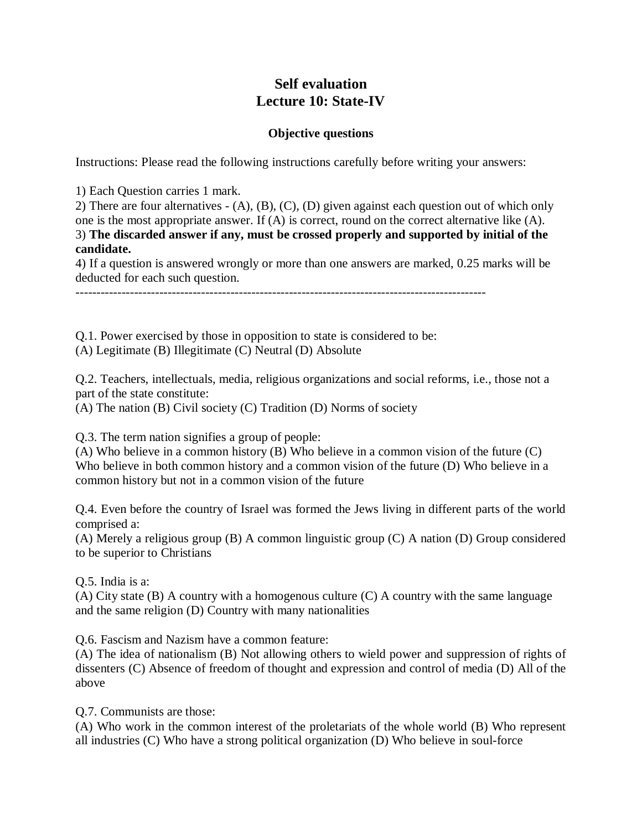## **Self evaluation Lecture 10: State-IV**

## **Objective questions**

Instructions: Please read the following instructions carefully before writing your answers:

1) Each Question carries 1 mark.

2) There are four alternatives - (A), (B), (C), (D) given against each question out of which only one is the most appropriate answer. If (A) is correct, round on the correct alternative like (A). 3) **The discarded answer if any, must be crossed properly and supported by initial of the candidate.**

4) If a question is answered wrongly or more than one answers are marked, 0.25 marks will be deducted for each such question.

--------------------------------------------------------------------------------------------------

Q.1. Power exercised by those in opposition to state is considered to be:

(A) Legitimate (B) Illegitimate (C) Neutral (D) Absolute

Q.2. Teachers, intellectuals, media, religious organizations and social reforms, i.e., those not a part of the state constitute:

(A) The nation (B) Civil society (C) Tradition (D) Norms of society

Q.3. The term nation signifies a group of people:

(A) Who believe in a common history (B) Who believe in a common vision of the future (C) Who believe in both common history and a common vision of the future (D) Who believe in a common history but not in a common vision of the future

Q.4. Even before the country of Israel was formed the Jews living in different parts of the world comprised a:

(A) Merely a religious group (B) A common linguistic group (C) A nation (D) Group considered to be superior to Christians

Q.5. India is a:

(A) City state (B) A country with a homogenous culture (C) A country with the same language and the same religion (D) Country with many nationalities

Q.6. Fascism and Nazism have a common feature:

(A) The idea of nationalism (B) Not allowing others to wield power and suppression of rights of dissenters (C) Absence of freedom of thought and expression and control of media (D) All of the above

Q.7. Communists are those:

(A) Who work in the common interest of the proletariats of the whole world (B) Who represent all industries (C) Who have a strong political organization (D) Who believe in soul-force